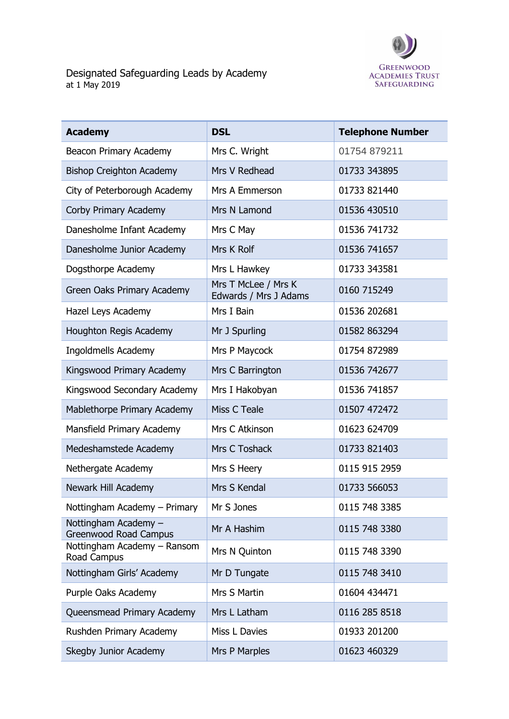

| <b>Academy</b>                                       | <b>DSL</b>                                   | <b>Telephone Number</b> |
|------------------------------------------------------|----------------------------------------------|-------------------------|
| <b>Beacon Primary Academy</b>                        | Mrs C. Wright                                | 01754 879211            |
| <b>Bishop Creighton Academy</b>                      | Mrs V Redhead                                | 01733 343895            |
| City of Peterborough Academy                         | Mrs A Emmerson                               | 01733 821440            |
| Corby Primary Academy                                | Mrs N Lamond                                 | 01536 430510            |
| Danesholme Infant Academy                            | Mrs C May                                    | 01536 741732            |
| Danesholme Junior Academy                            | Mrs K Rolf                                   | 01536 741657            |
| Dogsthorpe Academy                                   | Mrs L Hawkey                                 | 01733 343581            |
| Green Oaks Primary Academy                           | Mrs T McLee / Mrs K<br>Edwards / Mrs J Adams | 0160 715249             |
| Hazel Leys Academy                                   | Mrs I Bain                                   | 01536 202681            |
| Houghton Regis Academy                               | Mr J Spurling                                | 01582 863294            |
| Ingoldmells Academy                                  | Mrs P Maycock                                | 01754 872989            |
| Kingswood Primary Academy                            | Mrs C Barrington                             | 01536 742677            |
| Kingswood Secondary Academy                          | Mrs I Hakobyan                               | 01536 741857            |
| Mablethorpe Primary Academy                          | Miss C Teale                                 | 01507 472472            |
| Mansfield Primary Academy                            | Mrs C Atkinson                               | 01623 624709            |
| Medeshamstede Academy                                | Mrs C Toshack                                | 01733 821403            |
| Nethergate Academy                                   | Mrs S Heery                                  | 0115 915 2959           |
| Newark Hill Academy                                  | Mrs S Kendal                                 | 01733 566053            |
| Nottingham Academy - Primary                         | Mr S Jones                                   | 0115 748 3385           |
| Nottingham Academy -<br><b>Greenwood Road Campus</b> | Mr A Hashim                                  | 0115 748 3380           |
| Nottingham Academy - Ransom<br>Road Campus           | Mrs N Quinton                                | 0115 748 3390           |
| Nottingham Girls' Academy                            | Mr D Tungate                                 | 0115 748 3410           |
| Purple Oaks Academy                                  | Mrs S Martin                                 | 01604 434471            |
| Queensmead Primary Academy                           | Mrs L Latham                                 | 0116 285 8518           |
| Rushden Primary Academy                              | Miss L Davies                                | 01933 201200            |
| Skegby Junior Academy                                | Mrs P Marples                                | 01623 460329            |